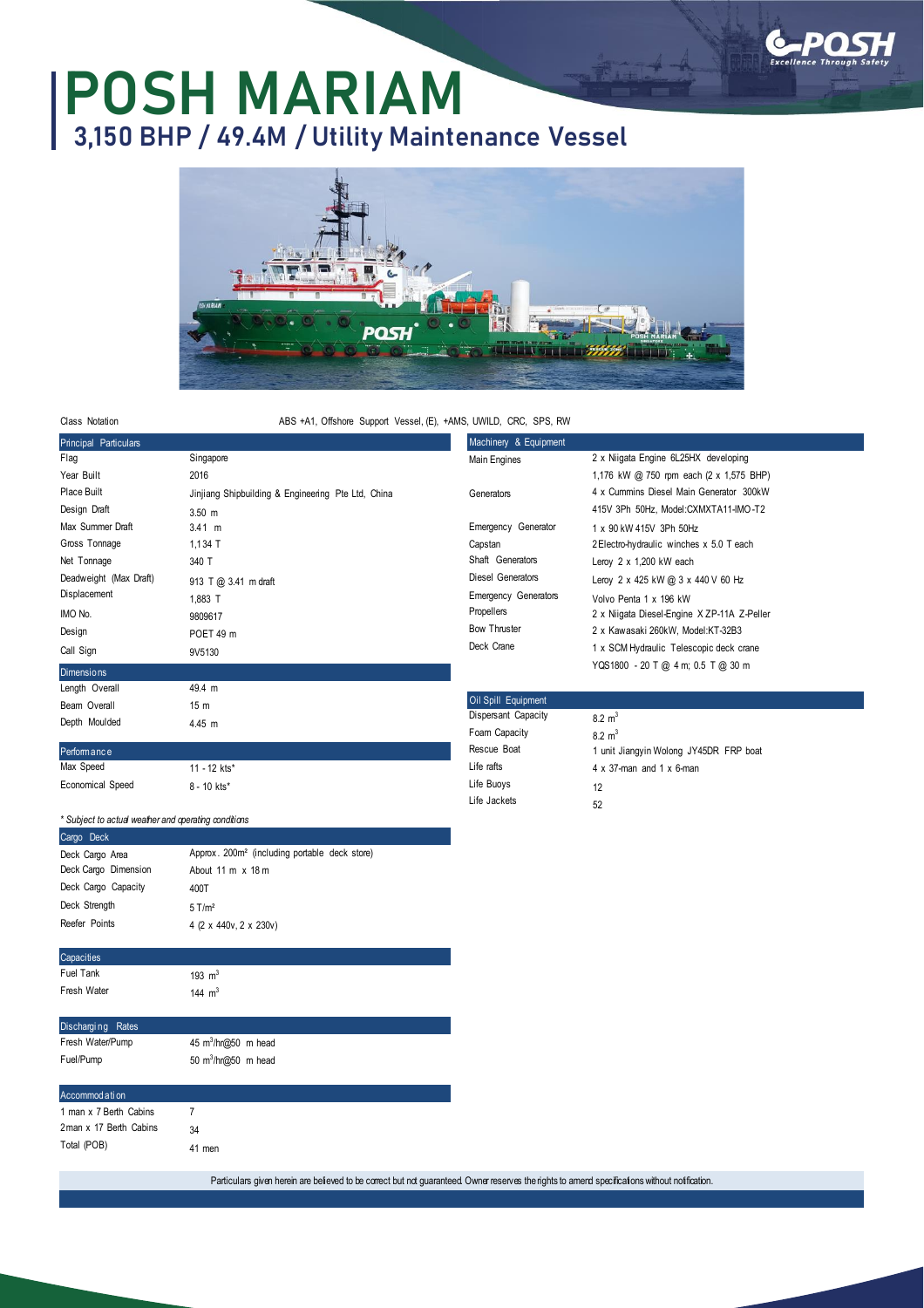

# **POSH MARIAM 3,150 BHP / 49.4M / Utility Maintenance Vessel**



Class Notation

#### ABS +A1, Offshore Support Vessel, (E), +AMS, UWILD, CRC, SPS, RW

| <b>Principal Particulars</b> |                                                    | Machinery & Equipment       |                                             |  |  |
|------------------------------|----------------------------------------------------|-----------------------------|---------------------------------------------|--|--|
| Flag                         | Singapore                                          | Main Engines                | 2 x Niigata Engine 6L25HX developing        |  |  |
| Year Built                   | 2016                                               |                             | 1,176 kW @ 750 rpm each (2 x 1,575 BHP)     |  |  |
| Place Built                  | Jinjiang Shipbuilding & Engineering Pte Ltd, China | Generators                  | 4 x Cummins Diesel Main Generator 300kW     |  |  |
| Design Draft                 | $3.50$ m                                           |                             | 415V 3Ph 50Hz, Model:CXMXTA11-IMO-T2        |  |  |
| Max Summer Draft             | $3.41 \text{ m}$                                   | Emergency Generator         | 1 x 90 kW 415V 3Ph 50Hz                     |  |  |
| Gross Tonnage                | $1,134$ T                                          | Capstan                     | 2 Electro-hydraulic winches x 5.0 T each    |  |  |
| Net Tonnage                  | 340 T                                              | Shaft Generators            | Leroy $2 \times 1,200$ kW each              |  |  |
| Deadweight (Max Draft)       | 913 T @ 3.41 m draft                               | Diesel Generators           | Leroy 2 x 425 kW @ 3 x 440 V 60 Hz          |  |  |
| Displacement                 | 1,883 T                                            | <b>Emergency Generators</b> | Volvo Penta 1 x 196 kW                      |  |  |
| IMO No.                      | 9809617                                            | Propellers                  | 2 x Niigata Diesel-Engine X ZP-11A Z-Peller |  |  |
| Design                       | POET 49 m                                          | <b>Bow Thruster</b>         | 2 x Kawasaki 260kW, Model:KT-32B3           |  |  |
| Call Sign                    | 9V5130                                             | Deck Crane                  | 1 x SCM Hydraulic Telescopic deck crane     |  |  |
| <b>Dimensions</b>            |                                                    |                             | YQS1800 - 20 T @ 4 m; 0.5 T @ 30 m          |  |  |
| Length Overall               | 49.4 m                                             |                             |                                             |  |  |
| Beam Overall                 | 15 <sub>m</sub>                                    | Oil Spill Equipment         |                                             |  |  |
| Depth Moulded                | 4.45 m                                             | Dispersant Capacity         | $8.2 \text{ m}^3$                           |  |  |
|                              |                                                    | Foam Capacity               | $8.2 \text{ m}^3$                           |  |  |
| Performance                  |                                                    | Rescue Boat                 | 1 unit Jiangyin Wolong JY45DR FRP boat      |  |  |
| Max Speed                    | 11 - 12 kts*                                       | Life rafts                  | $4 \times 37$ -man and $1 \times 6$ -man    |  |  |

Economical Speed

| $11 - 12$ kts* |  |
|----------------|--|
| 8 - 10 kts*    |  |

### Life rafts Life Buoys Life Jackets 4 x 37-man and 1 x 6-man 12 52

## *\* Subject to actual weather and operating conditions* Cargo Deck

| Deck Cargo Area      | Approx. 200m <sup>2</sup> (including portable deck store) |  |  |
|----------------------|-----------------------------------------------------------|--|--|
| Deck Cargo Dimension | About $11 \text{ m} \times 18 \text{ m}$                  |  |  |
| Deck Cargo Capacity  | 400T                                                      |  |  |
| Deck Strength        | $5$ T/m <sup>2</sup>                                      |  |  |
| Reefer Points        | 4 (2 x 440v, 2 x 230v)                                    |  |  |
|                      |                                                           |  |  |
| Capacities           |                                                           |  |  |

193  $m<sup>3</sup>$ 144  $m<sup>3</sup>$ 

| Fuel Tank   |  |
|-------------|--|
|             |  |
| Fresh Water |  |
|             |  |

| Discharging Rates |                                  |  |
|-------------------|----------------------------------|--|
| Fresh Water/Pump  | 45 $m^3/hr$ ( $\omega$ 50 m head |  |
| Fuel/Pump         | 50 $m^3/hr@50$ m head            |  |

### ccommod a ti on

| 1 man x 7 Berth Cabins  | 7      |
|-------------------------|--------|
| 2 man x 17 Berth Cabins | 34     |
| Total (POB)             | 41 men |

Particulars given herein are believed to be correct but not guaranteed. Owner reserves the rights to amend specifications without notification.